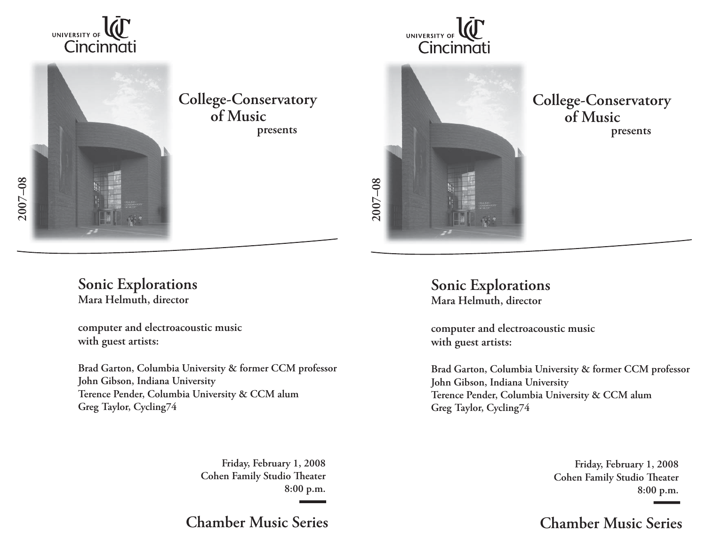



**presents College-Conservatory of Music**

## **Sonic Explorations Mara Helmuth, director**

**computer and electroacoustic music with guest artists:**

**Brad Garton, Columbia University & former CCM professor John Gibson, Indiana University Terence Pender, Columbia University & CCM alum Greg Taylor, Cycling74** 

> **Friday, February 1, 2008 Cohen Family Studio Theater 8:00 p.m.**

**Chamber Music Series**